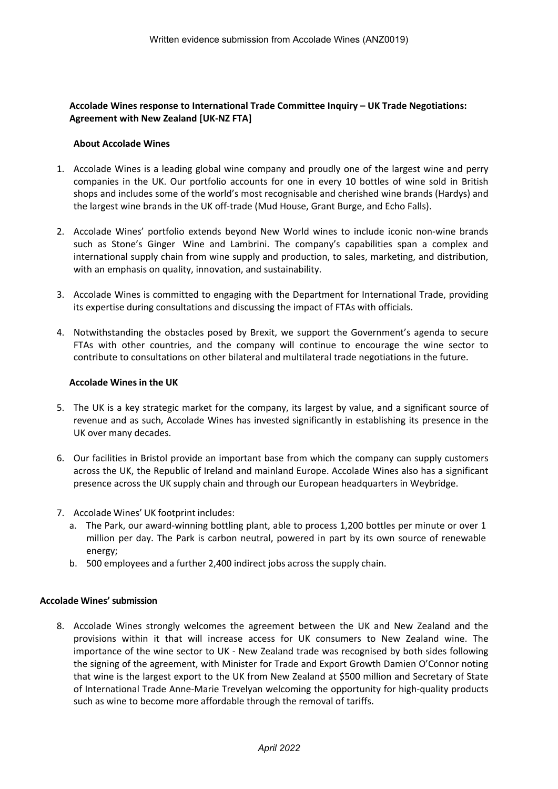## **Accolade Wines response to International Trade Committee Inquiry – UK Trade Negotiations: Agreement with New Zealand [UK-NZ FTA]**

## **About Accolade Wines**

- 1. Accolade Wines is a leading global wine company and proudly one of the largest wine and perry companies in the UK. Our portfolio accounts for one in every 10 bottles of wine sold in British shops and includes some of the world's most recognisable and cherished wine brands (Hardys) and the largest wine brands in the UK off-trade (Mud House, Grant Burge, and Echo Falls).
- 2. Accolade Wines' portfolio extends beyond New World wines to include iconic non-wine brands such as Stone's Ginger Wine and Lambrini. The company's capabilities span a complex and international supply chain from wine supply and production, to sales, marketing, and distribution, with an emphasis on quality, innovation, and sustainability.
- 3. Accolade Wines is committed to engaging with the Department for International Trade, providing its expertise during consultations and discussing the impact of FTAs with officials.
- 4. Notwithstanding the obstacles posed by Brexit, we support the Government's agenda to secure FTAs with other countries, and the company will continue to encourage the wine sector to contribute to consultations on other bilateral and multilateral trade negotiations in the future.

## **Accolade Wines in the UK**

- 5. The UK is a key strategic market for the company, its largest by value, and a significant source of revenue and as such, Accolade Wines has invested significantly in establishing its presence in the UK over many decades.
- 6. Our facilities in Bristol provide an important base from which the company can supply customers across the UK, the Republic of Ireland and mainland Europe. Accolade Wines also has a significant presence across the UK supply chain and through our European headquarters in Weybridge.
- 7. Accolade Wines' UK footprint includes:
	- a. The Park, our award-winning bottling plant, able to process 1,200 bottles per minute or over 1 million per day. The Park is carbon neutral, powered in part by its own source of renewable energy;
	- b. 500 employees and a further 2,400 indirect jobs across the supply chain.

## **Accolade Wines' submission**

8. Accolade Wines strongly welcomes the agreement between the UK and New Zealand and the provisions within it that will increase access for UK consumers to New Zealand wine. The importance of the wine sector to UK - New Zealand trade was recognised by both sides following the signing of the agreement, with Minister for Trade and Export Growth Damien O'Connor noting that wine is the largest export to the UK from New Zealand at \$500 million and Secretary of State of International Trade Anne-Marie Trevelyan welcoming the opportunity for high-quality products such as wine to become more affordable through the removal of tariffs.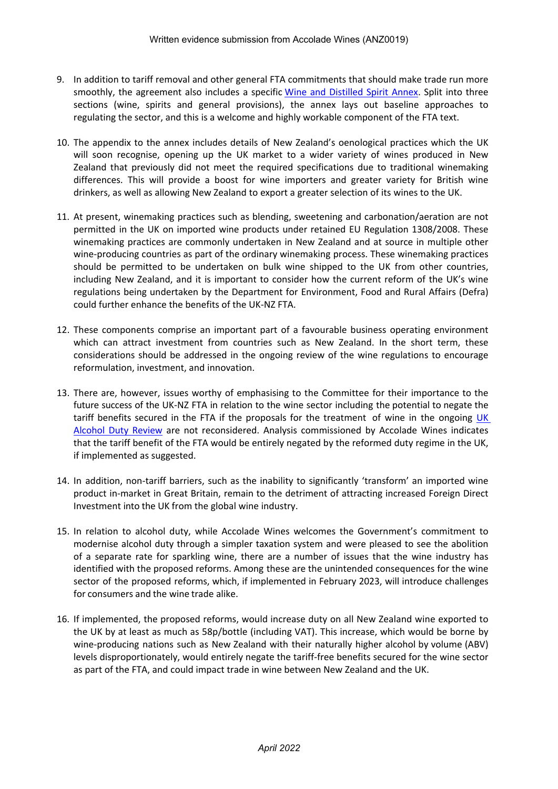- 9. In addition to tariff removal and other general FTA commitments that should make trade run more smoothly, the agreement also includes a specific [Wine](https://protect-au.mimecast.com/s/aokXCJyBZVHp21lZiGWkSU?domain=6jts2.r.a.d.sendibm1.com) [and](https://protect-au.mimecast.com/s/aokXCJyBZVHp21lZiGWkSU?domain=6jts2.r.a.d.sendibm1.com) [Distilled](https://protect-au.mimecast.com/s/aokXCJyBZVHp21lZiGWkSU?domain=6jts2.r.a.d.sendibm1.com) [Spirit](https://protect-au.mimecast.com/s/aokXCJyBZVHp21lZiGWkSU?domain=6jts2.r.a.d.sendibm1.com) [Annex](https://protect-au.mimecast.com/s/aokXCJyBZVHp21lZiGWkSU?domain=6jts2.r.a.d.sendibm1.com). Split into three sections (wine, spirits and general provisions), the annex lays out baseline approaches to regulating the sector, and this is a welcome and highly workable component of the FTA text.
- 10. The appendix to the annex includes details of New Zealand's oenological practices which the UK will soon recognise, opening up the UK market to a wider variety of wines produced in New Zealand that previously did not meet the required specifications due to traditional winemaking differences. This will provide a boost for wine importers and greater variety for British wine drinkers, as well as allowing New Zealand to export a greater selection of its wines to the UK.
- 11. At present, winemaking practices such as blending, sweetening and carbonation/aeration are not permitted in the UK on imported wine products under retained EU Regulation 1308/2008. These winemaking practices are commonly undertaken in New Zealand and at source in multiple other wine-producing countries as part of the ordinary winemaking process. These winemaking practices should be permitted to be undertaken on bulk wine shipped to the UK from other countries, including New Zealand, and it is important to consider how the current reform of the UK's wine regulations being undertaken by the Department for Environment, Food and Rural Affairs (Defra) could further enhance the benefits of the UK-NZ FTA.
- 12. These components comprise an important part of a favourable business operating environment which can attract investment from countries such as New Zealand. In the short term, these considerations should be addressed in the ongoing review of the wine regulations to encourage reformulation, investment, and innovation.
- 13. There are, however, issues worthy of emphasising to the Committee for their importance to the future success of the UK-NZ FTA in relation to the wine sector including the potential to negate the tariff benefits secured in the FTA if the proposals for the treatment of wine in the ongoing [UK](https://www.gov.uk/government/consultations/the-new-alcohol-duty-system-consultation#%3A~%3Atext%3DThe%20Alcohol%20Duty%20Review%20aims%2Cwhich%20received%20106%20written%20responses) [Alcohol](https://www.gov.uk/government/consultations/the-new-alcohol-duty-system-consultation#%3A~%3Atext%3DThe%20Alcohol%20Duty%20Review%20aims%2Cwhich%20received%20106%20written%20responses) [Duty](https://www.gov.uk/government/consultations/the-new-alcohol-duty-system-consultation#%3A~%3Atext%3DThe%20Alcohol%20Duty%20Review%20aims%2Cwhich%20received%20106%20written%20responses) [Review](https://www.gov.uk/government/consultations/the-new-alcohol-duty-system-consultation#%3A~%3Atext%3DThe%20Alcohol%20Duty%20Review%20aims%2Cwhich%20received%20106%20written%20responses) are not reconsidered. Analysis commissioned by Accolade Wines indicates that the tariff benefit of the FTA would be entirely negated by the reformed duty regime in the UK, if implemented as suggested.
- 14. In addition, non-tariff barriers, such as the inability to significantly 'transform' an imported wine product in-market in Great Britain, remain to the detriment of attracting increased Foreign Direct Investment into the UK from the global wine industry.
- 15. In relation to alcohol duty, while Accolade Wines welcomes the Government's commitment to modernise alcohol duty through a simpler taxation system and were pleased to see the abolition of a separate rate for sparkling wine, there are a number of issues that the wine industry has identified with the proposed reforms. Among these are the unintended consequences for the wine sector of the proposed reforms, which, if implemented in February 2023, will introduce challenges for consumers and the wine trade alike.
- 16. If implemented, the proposed reforms, would increase duty on all New Zealand wine exported to the UK by at least as much as 58p/bottle (including VAT). This increase, which would be borne by wine-producing nations such as New Zealand with their naturally higher alcohol by volume (ABV) levels disproportionately, would entirely negate the tariff-free benefits secured for the wine sector as part of the FTA, and could impact trade in wine between New Zealand and the UK.